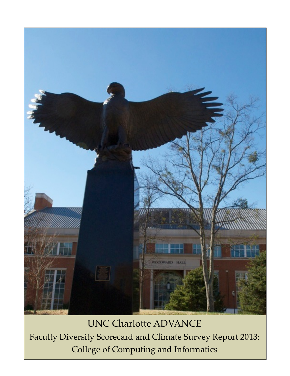

UNC Charlotte ADVANCE Faculty Diversity Scorecard and Climate Survey Report 2013: College of Computing and Informatics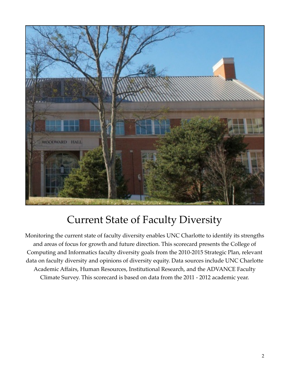

## Current State of Faculty Diversity

Monitoring the current state of faculty diversity enables UNC Charlotte to identify its strengths and areas of focus for growth and future direction. This scorecard presents the College of Computing and Informatics faculty diversity goals from the 2010-2015 Strategic Plan, relevant data on faculty diversity and opinions of diversity equity. Data sources include UNC Charlotte Academic Affairs, Human Resources, Institutional Research, and the ADVANCE Faculty Climate Survey. This scorecard is based on data from the 2011 - 2012 academic year.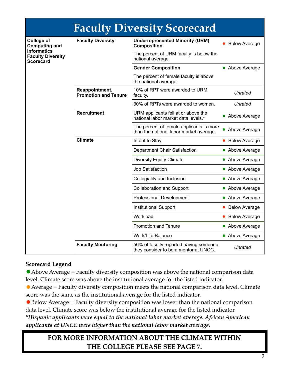| <b>Faculty Diversity Scorecard</b>                                                                       |                                               |                                                                                     |                      |  |  |
|----------------------------------------------------------------------------------------------------------|-----------------------------------------------|-------------------------------------------------------------------------------------|----------------------|--|--|
| <b>College of</b><br><b>Computing and</b><br>Informatics<br><b>Faculty Diversity</b><br><b>Scorecard</b> | <b>Faculty Diversity</b>                      | <b>Underrepresented Minority (URM)</b><br><b>Composition</b>                        | <b>Below Average</b> |  |  |
|                                                                                                          |                                               | The percent of URM faculty is below the<br>national average.                        |                      |  |  |
|                                                                                                          |                                               | <b>Gender Composition</b>                                                           | • Above Average      |  |  |
|                                                                                                          |                                               | The percent of female faculty is above<br>the national average.                     |                      |  |  |
|                                                                                                          | Reappointment,<br><b>Promotion and Tenure</b> | 10% of RPT were awarded to URM<br>faculty.                                          | Unrated              |  |  |
|                                                                                                          |                                               | 30% of RPTs were awarded to women.                                                  | Unrated              |  |  |
|                                                                                                          | <b>Recruitment</b>                            | URM applicants fell at or above the<br>national labor market data levels.*          | • Above Average      |  |  |
|                                                                                                          |                                               | The percent of female applicants is more<br>than the national labor market average. | Above Average        |  |  |
|                                                                                                          | <b>Climate</b>                                | Intent to Stay                                                                      | <b>Below Average</b> |  |  |
|                                                                                                          |                                               | Department Chair Satisfaction                                                       | • Above Average      |  |  |
|                                                                                                          |                                               | <b>Diversity Equity Climate</b>                                                     | • Above Average      |  |  |
|                                                                                                          |                                               | Job Satisfaction                                                                    | • Above Average      |  |  |
|                                                                                                          |                                               | Collegiality and Inclusion                                                          | • Above Average      |  |  |
|                                                                                                          |                                               | <b>Collaboration and Support</b>                                                    | • Above Average      |  |  |
|                                                                                                          |                                               | <b>Professional Development</b>                                                     | • Above Average      |  |  |
|                                                                                                          |                                               | <b>Institutional Support</b>                                                        | <b>Below Average</b> |  |  |
|                                                                                                          |                                               | Workload                                                                            | <b>Below Average</b> |  |  |
|                                                                                                          |                                               | <b>Promotion and Tenure</b>                                                         | • Above Average      |  |  |
|                                                                                                          |                                               | Work/Life Balance                                                                   | • Above Average      |  |  |
|                                                                                                          | <b>Faculty Mentoring</b>                      | 56% of faculty reported having someone<br>they consider to be a mentor at UNCC.     | Unrated              |  |  |

#### **Scorecard Legend**

• Above Average = Faculty diversity composition was above the national comparison data level. Climate score was above the institutional average for the listed indicator.

 $\bullet$  Average = Faculty diversity composition meets the national comparison data level. Climate score was the same as the institutional average for the listed indicator.

 $\bullet$  Below Average = Faculty diversity composition was lower than the national comparison data level. Climate score was below the institutional average for the listed indicator. 

*\*Hispanic applicants were equal to the national labor market average. African American applicants at UNCC were higher than the national labor market average.*

#### **FOR MORE INFORMATION ABOUT THE CLIMATE WITHIN THE COLLEGE PLEASE SEE PAGE 7.**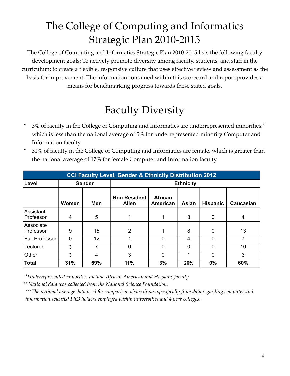## The College of Computing and Informatics Strategic Plan 2010-2015

The College of Computing and Informatics Strategic Plan 2010-2015 lists the following faculty development goals: To actively promote diversity among faculty, students, and staff in the curriculum; to create a flexible, responsive culture that uses effective review and assessment as the basis for improvement. The information contained within this scorecard and report provides a means for benchmarking progress towards these stated goals.

# Faculty Diversity

- 3% of faculty in the College of Computing and Informatics are underrepresented minorities,\* which is less than the national average of 5% for underrepresented minority Computer and Information faculty.
- 31% of faculty in the College of Computing and Informatics are female, which is greater than the national average of 17% for female Computer and Information faculty.

| <b>CCI Faculty Level, Gender &amp; Ethnicity Distribution 2012</b> |       |            |                                     |                     |       |                 |                  |
|--------------------------------------------------------------------|-------|------------|-------------------------------------|---------------------|-------|-----------------|------------------|
| Level                                                              |       | Gender     | <b>Ethnicity</b>                    |                     |       |                 |                  |
|                                                                    | Women | <b>Men</b> | <b>Non Resident</b><br><b>Alien</b> | African<br>American | Asian | <b>Hispanic</b> | <b>Caucasian</b> |
| Assistant<br>Professor                                             | 4     | 5          | 1                                   |                     | 3     | 0               | 4                |
| Associate<br>Professor                                             | 9     | 15         | 2                                   |                     | 8     | $\Omega$        | 13               |
| <b>Full Professor</b>                                              | 0     | 12         |                                     | 0                   | 4     | $\mathbf 0$     | 7                |
| Lecturer                                                           | 3     | 7          | 0                                   | 0                   | 0     | $\Omega$        | 10               |
| Other                                                              | 3     | 4          | 3                                   | 0                   |       | $\mathbf 0$     | 3                |
| <b>Total</b>                                                       | 31%   | 69%        | 11%                                 | 3%                  | 26%   | 0%              | 60%              |

\**Underrepresented minorities include African American and Hispanic faculty.*

*\*\* National data was collected from the National Science Foundation.* 

*\*\*\*The national average data used for comparison above draws specifically from data regarding computer and information scientist PhD holders employed within universities and 4 year colleges.*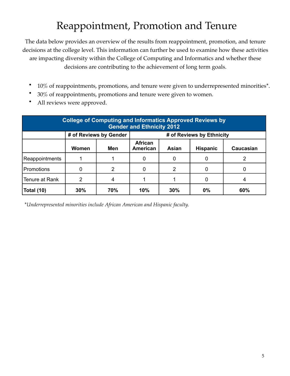## Reappointment, Promotion and Tenure

The data below provides an overview of the results from reappointment, promotion, and tenure decisions at the college level. This information can further be used to examine how these activities are impacting diversity within the College of Computing and Informatics and whether these decisions are contributing to the achievement of long term goals.

- 10% of reappointments, promotions, and tenure were given to underrepresented minorities\*.
- 30% of reappointments, promotions and tenure were given to women.
- All reviews were approved.

| <b>College of Computing and Informatics Approved Reviews by</b><br><b>Gender and Ethnicity 2012</b> |       |                        |                                                                     |     |    |     |  |
|-----------------------------------------------------------------------------------------------------|-------|------------------------|---------------------------------------------------------------------|-----|----|-----|--|
|                                                                                                     |       | # of Reviews by Gender | # of Reviews by Ethnicity                                           |     |    |     |  |
|                                                                                                     | Women | Men                    | <b>African</b><br>Asian<br>American<br><b>Hispanic</b><br>Caucasian |     |    |     |  |
| Reappointments                                                                                      |       |                        |                                                                     | 0   | 0  |     |  |
| Promotions                                                                                          |       | 2                      |                                                                     | 2   | 0  |     |  |
| Tenure at Rank                                                                                      | 2     |                        |                                                                     |     | 0  | 4   |  |
| <b>Total (10)</b>                                                                                   | 30%   | 70%                    | 10%                                                                 | 30% | 0% | 60% |  |

\**Underrepresented minorities include African American and Hispanic faculty.*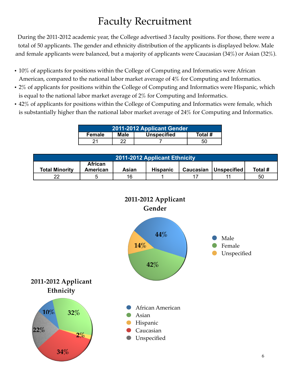## Faculty Recruitment

During the 2011-2012 academic year, the College advertised 3 faculty positions. For those, there were a total of 50 applicants. The gender and ethnicity distribution of the applicants is displayed below. Male and female applicants were balanced, but a majority of applicants were Caucasian (34%) or Asian (32%).

- 10% of applicants for positions within the College of Computing and Informatics were African American, compared to the national labor market average of 4% for Computing and Informatics.
- 2% of applicants for positions within the College of Computing and Informatics were Hispanic, which is equal to the national labor market average of 2% for Computing and Informatics.
- 42% of applicants for positions within the College of Computing and Informatics were female, which is substantially higher than the national labor market average of 24% for Computing and Informatics.

| 2011-2012 Applicant Gender |                                       |  |  |  |  |
|----------------------------|---------------------------------------|--|--|--|--|
| <b>Female</b>              | <b>Unspecified</b><br>Total #<br>Male |  |  |  |  |
|                            | າາ                                    |  |  |  |  |

| 2011-2012 Applicant Ethnicity |                                                                                                      |    |  |    |  |    |
|-------------------------------|------------------------------------------------------------------------------------------------------|----|--|----|--|----|
| <b>Total Minority</b>         | <b>African</b><br><b>Unspecified</b><br>Total #<br><b>Hispanic</b><br>Caucasian<br>American<br>Asian |    |  |    |  |    |
| າາ                            |                                                                                                      | 16 |  | 17 |  | 50 |

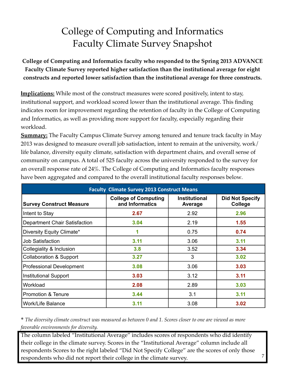#### College of Computing and Informatics Faculty Climate Survey Snapshot

**College of Computing and Informatics faculty who responded to the Spring 2013 ADVANCE Faculty Climate Survey reported higher satisfaction than the institutional average for eight constructs and reported lower satisfaction than the institutional average for three constructs.**

**Implications:** While most of the construct measures were scored positively, intent to stay, institutional support, and workload scored lower than the institutional average. This finding indicates room for improvement regarding the retention of faculty in the College of Computing and Informatics, as well as providing more support for faculty, especially regarding their workload.

**Summary:** The Faculty Campus Climate Survey among tenured and tenure track faculty in May 2013 was designed to measure overall job satisfaction, intent to remain at the university, work/ life balance, diversity equity climate, satisfaction with department chairs, and overall sense of community on campus. A total of 525 faculty across the university responded to the survey for an overall response rate of 24%. The College of Computing and Informatics faculty responses have been aggregated and compared to the overall institutional faculty responses below*.*

| <b>Faculty Climate Survey 2013 Construct Means</b> |                                                |                                 |                                   |  |  |  |  |
|----------------------------------------------------|------------------------------------------------|---------------------------------|-----------------------------------|--|--|--|--|
| <b>Survey Construct Measure</b>                    | <b>College of Computing</b><br>and Informatics | <b>Institutional</b><br>Average | <b>Did Not Specify</b><br>College |  |  |  |  |
| Intent to Stay                                     | 2.67                                           | 2.92                            | 2.96                              |  |  |  |  |
| <b>Department Chair Satisfaction</b>               | 3.04                                           | 2.19                            | 1.55                              |  |  |  |  |
| Diversity Equity Climate*                          | 4                                              | 0.75                            | 0.74                              |  |  |  |  |
| <b>Job Satisfaction</b>                            | 3.11                                           | 3.06                            | 3.11                              |  |  |  |  |
| Collegiality & Inclusion                           | 3.8                                            | 3.52                            | 3.34                              |  |  |  |  |
| <b>Collaboration &amp; Support</b>                 | 3.27                                           | 3                               | 3.02                              |  |  |  |  |
| <b>Professional Development</b>                    | 3.08                                           | 3.06                            | 3.03                              |  |  |  |  |
| Institutional Support                              | 3.03                                           | 3.12                            | 3.11                              |  |  |  |  |
| Workload                                           | 2.08                                           | 2.89                            | 3.03                              |  |  |  |  |
| <b>Promotion &amp; Tenure</b>                      | 3.44                                           | 3.1                             | 3.11                              |  |  |  |  |
| <b>Work/Life Balance</b>                           | 3.11                                           | 3.08                            | 3.02                              |  |  |  |  |

\* *The diversity climate construct was measured as between 0 and 1. Scores closer to one are viewed as more favorable environments for diversity.*

The column labeled "Institutional Average" includes scores of respondents who did identify their college in the climate survey. Scores in the "Institutional Average" column include all respondents Scores to the right labeled "Did Not Specify College" are the scores of only those respondents who did not report their college in the climate survey.